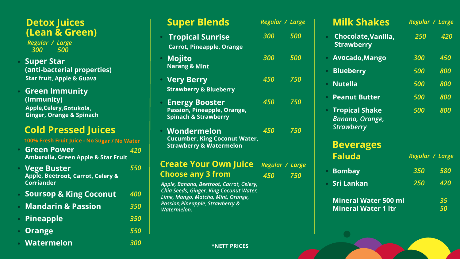*Regular / Large 300 500*

| ıds                                                                          | Regular / Large   |     |
|------------------------------------------------------------------------------|-------------------|-----|
| <u>rise</u><br>e, Orange                                                     | 300               | 500 |
|                                                                              | 300               | 500 |
| eberry                                                                       | 450               | 750 |
| er:<br>le, Orange,<br>erry                                                   | <i><b>450</b></i> | 750 |
| n<br>Coconut Water,<br>termelon                                              | <i><b>450</b></i> | 750 |
| <b>Own Juice</b> Regular / Large                                             |                   |     |
| rom                                                                          | 450               | 750 |
| ot, Carrot, Celery,<br>g Coconut Water,<br><b>Mint, Orange,</b><br>awberry & |                   |     |

### **Detox Juices (Lean & Green)**

# **Cold Pressed Juices**

| <b>Green Power</b><br><b>Amberella, Green Apple &amp; Star Fruit</b> |     |
|----------------------------------------------------------------------|-----|
| • Vege Buster<br>Apple, Beetroot, Carrot, Celery &<br>Corriander     | 550 |

*Apple, Banana, Beetroot, Carrot, Celery,* **Chia Seeds, Ginger, King** *Lime, Mango, Matcha,* **Passion, Pineapple, Stra** *Watermelon.* 





- *400* **Soursop & King Coconut**
- *350* **Mandarin & Passion**
- *350* **Pineapple**
- *550* **Orange**
- *300* **Watermelon**

# **Super Blends**

- **Tropical Suni Carrot, Pineapple**
- **Mojito Narang & Mint**
- **Very Berry Strawberry & Blue**
- **Energy Boost Passion, Pineappl Spinach & Strawb**
- **Wondermelo Cucumber, King Contact Strawberry & Water**

#### **Create Your C Choose any 3 fr**

- **Super Star (anti-bacterial properties) Star fruit, Apple & Guava**
- **Green Immunity (Immunity) Apple,Celery,Gotukola, Ginger, Orange & Spinach**

| <b>Milk Shakes</b>                                              | Regular / Large |                        |
|-----------------------------------------------------------------|-----------------|------------------------|
| Chocolate, Vanilla,<br><b>Strawberry</b>                        | 250             | 420                    |
| · Avocado, Mango                                                | 300             | <i><b>450</b></i>      |
| <b>• Blueberry</b>                                              | 500             | 800                    |
| · Nutella                                                       | 500             | 800                    |
| • Peanut Butter                                                 | 500             | 800                    |
| <b>• Tropical Shake</b><br>Banana, Orange,<br><b>Strawberry</b> | 500             | 800                    |
| <b>Beverages</b>                                                |                 |                        |
| <b>Faluda</b>                                                   | Regular / Large |                        |
| • Bombay                                                        | 350             | 580                    |
| • Sri Lankan                                                    | 250             | 420                    |
| <b>Mineral Water 500 ml</b><br><b>Mineral Water 1 ltr</b>       |                 | 35<br><i><b>50</b></i> |

**100% Fresh Fruit Juice - No Sugar / No Water**

**\*NETT PRICES**